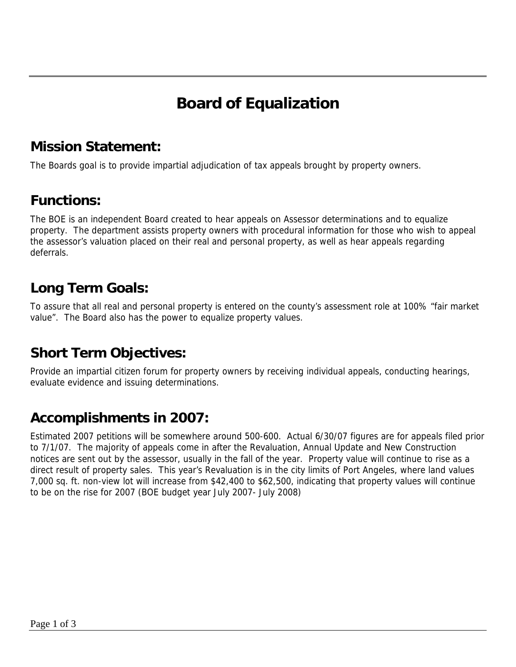# **Board of Equalization**

### **Mission Statement:**

The Boards goal is to provide impartial adjudication of tax appeals brought by property owners.

#### **Functions:**

The BOE is an independent Board created to hear appeals on Assessor determinations and to equalize property. The department assists property owners with procedural information for those who wish to appeal the assessor's valuation placed on their real and personal property, as well as hear appeals regarding deferrals.

### **Long Term Goals:**

To assure that all real and personal property is entered on the county's assessment role at 100% "fair market value". The Board also has the power to equalize property values.

## **Short Term Objectives:**

Provide an impartial citizen forum for property owners by receiving individual appeals, conducting hearings, evaluate evidence and issuing determinations.

## **Accomplishments in 2007:**

Estimated 2007 petitions will be somewhere around 500-600. Actual 6/30/07 figures are for appeals filed prior to 7/1/07. The majority of appeals come in after the Revaluation, Annual Update and New Construction notices are sent out by the assessor, usually in the fall of the year. Property value will continue to rise as a direct result of property sales. This year's Revaluation is in the city limits of Port Angeles, where land values 7,000 sq. ft. non-view lot will increase from \$42,400 to \$62,500, indicating that property values will continue to be on the rise for 2007 (BOE budget year July 2007- July 2008)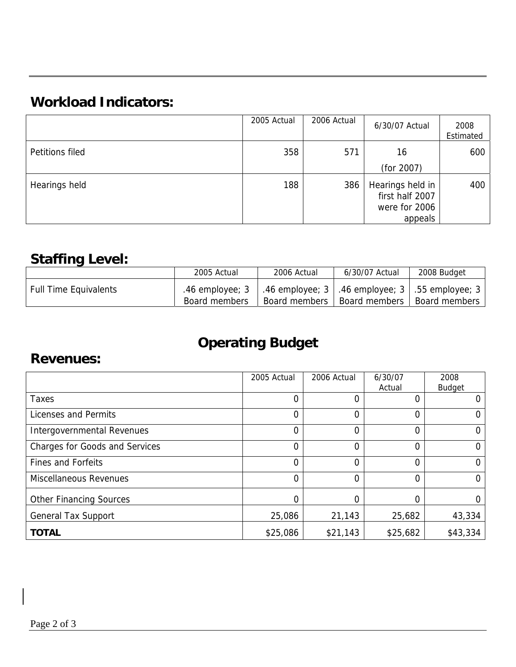## **Workload Indicators:**

|                 | 2005 Actual | 2006 Actual | 6/30/07 Actual                      | 2008<br>Estimated |
|-----------------|-------------|-------------|-------------------------------------|-------------------|
| Petitions filed | 358         | 571         | 16                                  | 600               |
|                 |             |             | (for 2007)                          |                   |
| Hearings held   | 188         | 386         | Hearings held in<br>first half 2007 | 400               |
|                 |             |             | were for 2006                       |                   |
|                 |             |             | appeals                             |                   |

## **Staffing Level:**

|                              | 2005 Actual                      | 2006 Actual                                                            | 6/30/07 Actual | 2008 Budget   |
|------------------------------|----------------------------------|------------------------------------------------------------------------|----------------|---------------|
| <b>Full Time Equivalents</b> | .46 employee; 3<br>Board members | .46 employee; 3   .46 employee; 3   .55 employee; 3  <br>Board members | Board members  | Board members |

# **Operating Budget**

#### **Revenues:**

|                                       | 2005 Actual    | 2006 Actual | 6/30/07<br>Actual | 2008<br><b>Budget</b> |
|---------------------------------------|----------------|-------------|-------------------|-----------------------|
| <b>Taxes</b>                          | 0              |             |                   |                       |
| Licenses and Permits                  | 0              | 0           | 0                 |                       |
| Intergovernmental Revenues            | 0              | 0           | 0                 |                       |
| <b>Charges for Goods and Services</b> | $\overline{0}$ | 0           | $\Omega$          | 0                     |
| <b>Fines and Forfeits</b>             | 0              | 0           | 0                 | 0                     |
| <b>Miscellaneous Revenues</b>         | $\Omega$       | $\Omega$    | 0                 |                       |
| <b>Other Financing Sources</b>        | 0              |             |                   |                       |
| <b>General Tax Support</b>            | 25,086         | 21,143      | 25,682            | 43,334                |
| <b>TOTAL</b>                          | \$25,086       | \$21,143    | \$25,682          | \$43,334              |